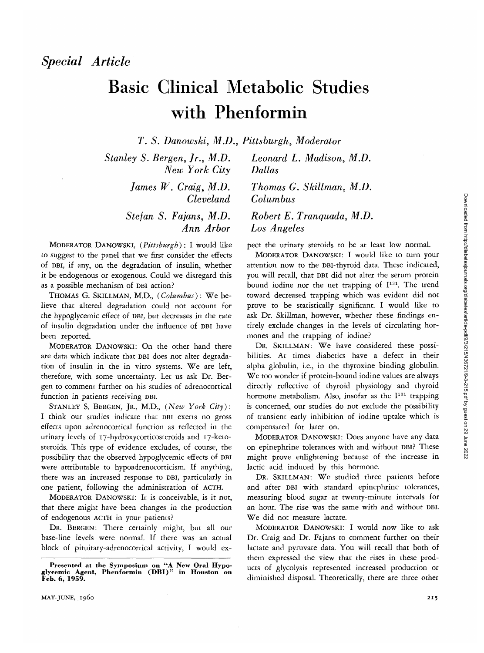## Basic Clinical Metabolic Studies with Phenformin

*T. S. Danowski, M.D., Pittsburgh, Moderator*

*Stanley S. Bergen, Jr., M.D. New York City*

> *James W. Craig, M.D. Cleveland*

*Stefan S. Fajans, M.D. Ann Arbor*

MODERATOR DANOWSKI, *(Pittsburgh)*: I would like to suggest to the panel that we first consider the effects of DBI, if any, on the degradation of insulin, whether it be endogenous or exogenous. Could we disregard this as a possible mechanism of DBI action?

THOMAS G. SKILLMAN, M.D., *(Columbus)*: We believe that altered degradation could not account for the hypoglycemic effect of DBI, but decreases in the rate of insulin degradation under the influence of DBI have been reported.

MODERATOR DANOWSKI: On the other hand there are data which indicate that DBI does not alter degradation of insulin in the in vitro systems. We are left, therefore, with some uncertainty. Let us ask Dr. Bergen to comment further on his studies of adrenocortical function in patients receiving DBI.

STANLEY S. BERGEN, JR., M.D., *(New York City)*: I think our studies indicate that DBI exerts no gross effects upon adrenocortical function as reflected in the urinary levels of 17-hydroxycorticosteroids and 17-ketosteroids. This type of evidence excludes, of course, the possibility that the observed hypoglycemic effects of DBI were attributable to hypoadrenocorticism. If anything, there was an increased response to DBI, particularly in one patient, following the administration of ACTH.

MODERATOR DANOWSKI: It is conceivable, is it not, that there might have been changes in the production of endogenous ACTH in your patients?

DR. BERGEN: There certainly might, but all our base-line levels were normal. If there was an actual block of pituitary-adrenocortical activity, I would ex-

**MAY-JUNE,** 1960 **215** 

*Leonard L. Madison, M.D. Dallas*

*Thomas G. Skillman, M.D. Columbus*

*Robert E. Tranquada, M.D. Los Angeles*

pect the urinary steroids to be at least low normal.

MODERATOR DANOWSKI: I would like to turn your attention now to the DBi-thyroid data. These indicated, you will recall, that DBI did not alter the serum protein bound iodine nor the net trapping of  $I<sup>131</sup>$ . The trend toward decreased trapping which was evident did not prove to be statistically significant. I would like to ask Dr. Skillman, however, whether these findings entirely exclude changes in the levels of circulating hormones and the trapping of iodine?

DR. SKILLMAN: We have considered these possibilities. At times diabetics have a defect in their alpha globulin, i.e., in the thyroxine binding globulin. We too wonder if protein-bound iodine values are always directly reflective of thyroid physiology and thyroid hormone metabolism. Also, insofar as the I<sup>131</sup> trapping is concerned, our studies do not exclude the possibility of transient early inhibition of iodine uptake which is compensated for later on.

MODERATOR DANOWSKI: Does anyone have any data on epinephrine tolerances with and without DBI? These might prove enlightening because of the increase in lactic acid induced by this hormone.

DR. SKILLMAN: We studied three patients before and after DBI with standard epinephrine tolerances, measuring blood sugar at twenty-minute intervals for an hour. The rise was the same with and without DBI. We did not measure lactate.

MODERATOR DANOWSKI: I would now like to ask Dr. Craig and Dr. Fajans to comment further on their lactate and pyruvate data. You will recall that both of them expressed the view that the rises in these products of glycolysis represented increased production or diminished disposal. Theoretically, there are three other

Presented at the Symposium on "A New Oral Hypo-**Presented at the Symposium on "A New Oral Hypo-<br>
<u>Elyeomic Agent</u>, Phonformin (DBI)" in Houston on** Feb. 6, 1959.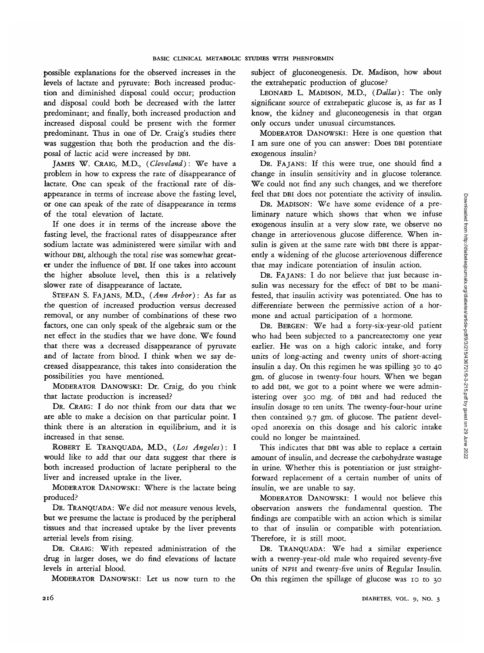possible explanations for the observed increases in the levels of lactate and pyruvate: Both increased production and diminished disposal could occur; production and disposal could both be decreased with the latter predominant; and finally, both increased production and increased disposal could be present with the former predominant. Thus in one of Dr. Craig's studies there was suggestion that both the production and the disposal of lactic acid were increased by DBi.

JAMES W. CRAIG, M.D., *{Cleveland):* We have a problem in how to express the rate of disappearance of lactate. One can speak of the fractional rate of disappearance in terms of increase above the fasting level, or one can speak of the rate of disappearance in terms of the total elevation of lactate.

If one does it in terms of the increase above the fasting level, the fractional rates of disappearance after sodium lactate was administered were similar with and without DBI, although the total rise was somewhat greater under the influence of DBI. If one takes into account the higher absolute level, then this is a relatively slower rate of disappearance of lactate.

STEFAN S. FAJANS, M.D., *(Ann Arbor):* As far as the question of increased production versus decreased removal, or any number of combinations of these two factors, one can only speak of the algebraic sum or the net effect in the studies that we have done. We found that there was a decreased disappearance of pyruvate and of lactate from blood. I think when we say decreased disappearance, this takes into consideration the possibilities you have mentioned.

MODERATOR DANOWSKI: Dr. Craig, do you think that lactate production is increased?

DR. CRAIG: I do not think from our data that we are able to make a decision on that particular point. I think there is an alteration in equilibrium, and it is increased in that sense.

ROBERT E. TRANQUADA, M.D., *(Los Angeles)*: I would like to add that our data suggest that there is both increased production of lactate peripheral to the liver and increased uptake in the liver.

MODERATOR DANOWSKI: Where is the lactate being produced?

DR. TRANQUADA: We did not measure venous levels, but we presume the lactate is produced by the peripheral tissues and that increased uptake by the liver prevents arterial levels from rising.

DR. CRAIG: With repeated administration of the drug in larger doses, we do find elevations of lactate levels in arterial blood.

MODERATOR DANOWSKI: Let us now turn to the

subject of gluconeogenesis. Dr. Madison, how about the extrahepatic production of glucose?

LEONARD L. MADISON, M.D., *(Dallas):* The only significant source of extrahepatic glucose is, as far as I know, the kidney and gluconeogenesis in that organ only occurs under unusual circumstances.

MODERATOR DANOWSKI: Here is one question that I am sure one of you can answer: Does DBI potentiate exogenous insulin?

DR. FA JANS: If this were true, one should find a change in insulin sensitivity and in glucose tolerance. We could not find any such changes, and we therefore feel that DBI does not potentiate the activity of insulin.

DR. MADISON: We have some evidence of a preliminary nature which shows that when we infuse exogenous insulin at a very slow rate, we observe no change in arteriovenous glucose difference. When insulin is given at the same rate with DBI there is apparently a widening of the glucose arteriovenous difference that may indicate potentiation of insulin action.

DR. FA JANS: I do not believe that just because insulin was necessary for the effect of DBI to be manifested, that insulin activity was potentiated. One has to differentiate between the permissive action of a hormone and actual participation of a hormone.

DR. BERGEN: We had a forty-six-year-old patient who had been subjected to a pancreatectomy one year earlier. He was on a high caloric intake, and forty units of long-acting and twenty units of short-acting insulin a day. On this regimen he was spilling 30 to 40 gm. of glucose in twenty-four hours. When we began to add DBI, we got to a point where we were administering over 300 mg. of DBI and had reduced the insulin dosage to ten units. The twenty-four-hour urine then contained 9.7 gm. of glucose. The patient developed anorexia on this dosage and his caloric intake could no longer be maintained.

This indicates that DBI was able to replace a certain amount of insulin, and decrease the carbohydrate wastage in urine. Whether this is potentiation or just straightforward replacement of a certain number of units of insulin, we are unable to say.

MODERATOR DANOWSKI: I would not believe this observation answers the fundamental question. The findings are compatible with an action which is similar to that of insulin or compatible with potentiation. Therefore, it is still moot.

DR. TRANQUADA: We had a similar experience with a twenty-year-old male who required seventy-five units of NPH and twenty-five units of Regular Insulin. On this regimen the spillage of glucose was 10 to 30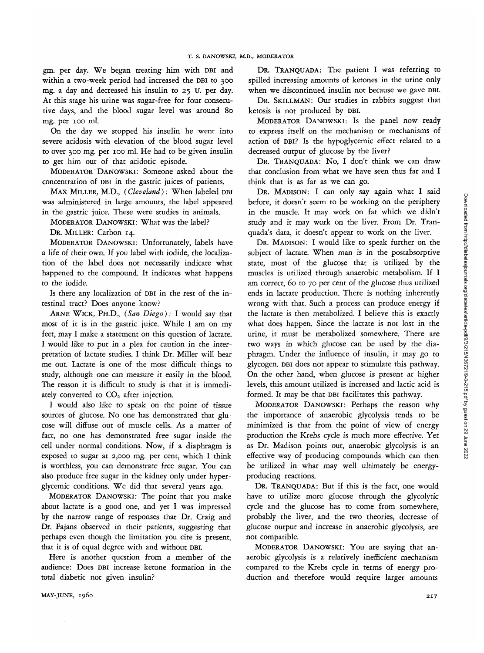gm. per day. We began treating him with DBI and within a two-week period had increased the DBI to 300 mg. a day and decreased his insulin to 25 U. per day. At this stage his urine was sugar-free for four consecutive days, and the blood sugar level was around 80 mg. per 100 ml.

On the day we stopped his insulin he went into severe acidosis with elevation of the blood sugar level to over 300 mg. per 100 ml. He had to be given insulin to get him out of that acidotic episode.

MODERATOR DANOWSKI: Someone asked about the concentration of DBI in the gastric juices of patients.

MAX MILLER, M.D., *(Cleveland)*: When labeled DBI was administered in large amounts, the label appeared in the gastric juice. These were studies in animals.

MODERATOR DANOWSKI: What was the label?

DR. MILLER: Carbon 14.

MODERATOR DANOWSKI: Unfortunately, labels have a life of their own. If you label with iodide, the localization of the label does not necessarily indicate what happened to the compound. It indicates what happens to the iodide.

Is there any localization of DBI in the rest of the intestinal tract? Does anyone know?

ARNE WICK, PH.D., *(San Diego):* I would say that most of it is in the gastric juice. While I am on my feet, may I make a statement on this question of lactate. I would like to put in a plea for caution in the interpretation of lactate studies. I think Dr. Miller will bear me out. Lactate is one of the most difficult things to study, although one can measure it easily in the blood. The reason it is difficult to study is that it is immediately converted to  $CO<sub>2</sub>$  after injection.

I would also like to speak on the point of tissue sources of glucose. No one has demonstrated that glucose will diffuse out of muscle cells. As a matter of fact, no one has demonstrated free sugar inside the cell under normal conditions. Now, if a diaphragm is exposed to sugar at 2,000 mg. per cent, which I think is worthless, you can demonstrate free sugar. You can also produce free sugar in the kidney only under hyperglycemic conditions. We did that several years ago.

MODERATOR DANOWSKI: The point that you make about lactate is a good one, and yet I was impressed by the narrow range of responses that Dr. Craig and Dr. Fajans observed in their patients, suggesting that perhaps even though the limitation you cite is present, that it is of equal degree with and without DBI.

Here is another question from a member of the audience: Does DBI increase ketone formation in the total diabetic not given insulin?

DR. TRANQUADA: The patient I was referring to spilled increasing amounts of ketones in the urine only when we discontinued insulin not because we gave DBI.

DR. SKILLMAN: Our studies in rabbits suggest that ketosis is not produced by DBI.

MODERATOR DANOWSKI: IS the panel now ready to express itself on the mechanism or mechanisms of action of DBI? Is the hypoglycemic effect related to a decreased output of glucose by the liver?

DR. TRANQUADA: No, I don't think we can draw that conclusion from what we have seen thus far and I think that is as far as we can go.

DR. MADISON: I can only say again what I said before, it doesn't seem to be working on the periphery in the muscle. It may work on fat which we didn't study and it may work on the liver. From Dr. Tranquada's data, it doesn't appear to work on the liver.

DR. MADISON: I would like to speak further on the subject of lactate. When man is in the postabsorptive state, most of the glucose that is utilized by the muscles is utilized through anaerobic metabolism. If I am correct, 60 to 70 per cent of the glucose thus utilized ends in lactate production. There is nothing inherently wrong with that. Such a process can produce energy if the lactate is then metabolized. I believe this is exactly what does happen. Since the lactate is not lost in the urine, it must be metabolized somewhere. There are two ways in which glucose can be used by the diaphragm. Under the influence of insulin, it may go to glycogen. DBI does not appear to stimulate this pathway. On the other hand, when glucose is present at higher levels, this amount utilized is increased and lactic acid is formed. It may be that DBI facilitates this pathway.

MODERATOR DANOWSKI: Perhaps the reason why the importance of anaerobic glycolysis tends to be minimized is that from the point of view of energy production the Krebs cycle is much more effective. Yet as Dr. Madison points out, anaerobic glycolysis is an effective way of producing compounds which can then be utilized in what may well ultimately be energyproducing reactions.

DR. TRANQUADA: But if this is the fact, one would have to utilize more glucose through the glycolytic cycle and the glucose has to come from somewhere, probably the liver, and the two theories, decrease of glucose output and increase in anaerobic glycolysis, are not compatible.

MODERATOR DANOWSKI: YOU are saying that anaerobic glycolysis is a relatively inefficient mechanism compared to the Krebs cycle in terms of energy production and therefore would require larger amounts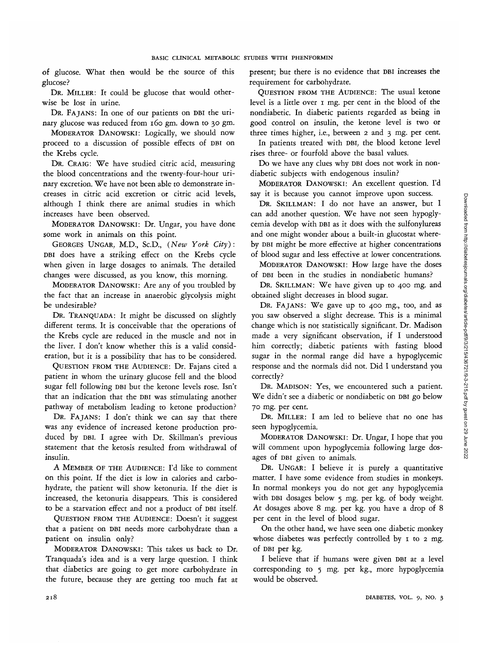of glucose. What then would be the source of this glucose?

DR. MILLER: It could be glucose that would otherwise be lost in urine.

DR. FA JANS: In one of our patients on DBI the urinary glucose was reduced from 160 gm. down to 30 gm.

MODERATOR DANOWSKI: Logically, we should now proceed to a discussion of possible effects of DBI on the Krebs cycle.

DR. CRAIG: We have studied citric acid, measuring the blood concentrations and the twenty-four-hour urinary excretion. We have not been able to demonstrate increases in citric acid excretion or citric acid levels, although I think there are animal studies in which increases have been observed.

MODERATOR DANOWSKI: Dr. Ungar, you have done some work in animals on this point.

GEORGES UNGAR, M.D., Sc.D., *(New York City)*: DBI does have a striking effect on the Krebs cycle when given in large dosages to animals. The detailed changes were discussed, as you know, this morning.

MODERATOR DANOWSKI: Are any of you troubled by the fact that an increase in anaerobic glycolysis might be undesirable?

DR. TRANQUADA: It might be discussed on slightly different terms. It is conceivable that the operations of the Krebs cycle are reduced in the muscle and not in the liver. I don't know whether this is a valid consideration, but it is a possibility that has to be considered.

QUESTION FROM THE AUDIENCE: Dr. Fajans cited a patient in whom the urinary glucose fell and the blood sugar fell following DBI but the ketone levels rose. Isn't that an indication that the DBI was stimulating another pathway of metabolism leading to ketone production?

DR. FAJANS: I don't think we can say that there was any evidence of increased ketone production produced by DBI. I agree with Dr. Skillman's previous statement that the ketosis resulted from withdrawal of insulin.

A MEMBER OF THE AUDIENCE: I'd like to comment on this point. If the diet is low in calories and carbohydrate, the patient will show ketonuria. If the diet is increased, the ketonuria disappears. This is considered to be a starvation effect and not a product of DBI itself.

QUESTION FROM THE AUDIENCE: Doesn't it suggest that a patient on DBI needs more carbohydrate than a patient on insulin only?

MODERATOR DANOWSKI: This takes us back to Dr. Tranquada's idea and is a very large question. I think that diabetics are going to get more carbohydrate in the future, because they are getting too much fat at present; but there is no evidence that DBI increases the requirement for carbohydrate.

QUESTION FROM THE AUDIENCE: The usual ketone level is a little over 1 mg. per cent in the blood of the nondiabetic. In diabetic patients regarded as being in good control on insulin, the ketone level is two or three times higher, i.e., between 2 and 3 mg. per cent.

In patients treated with DBI, the blood ketone level rises three- or fourfold above the basal values.

Do we have any clues why DBI does not work in nondiabetic subjects with endogenous insulin?

MODERATOR DANOWSKI: An excellent question. I'd say it is because you cannot improve upon success.

DR. SKILLMAN: I do not have an answer, but I can add another question. We have not seen hypoglycemia develop with DBI as it does with the sulfonylureas and one might wonder about a built-in glucostat whereby DBI might be more effective at higher concentrations of blood sugar and less effective at lower concentrations.

MODERATOR DANOWSKI: HOW large have the doses of DBI been in the studies in nondiabetic humans?

DR. SKILLMAN: We have given up to 400 mg. and obtained slight decreases in blood sugar.

DR. FAJANS: We gave up to 400 mg., too, and as you saw observed a slight decrease. This is a minimal change which is not statistically significant. Dr. Madison made a very significant observation, if I understood him correctly; diabetic patients with fasting blood sugar in the normal range did have a hypoglycemic response and the normals did not. Did I understand you correctly?

DR. MADISON: Yes, we encountered such a patient. We didn't see a diabetic or nondiabetic on DBI go below 70 mg. per cent.

DR. MILLER: I am led to believe that no one has seen hypoglycemia.

MODERATOR DANOWSKI: Dr. Ungar, I hope that you will comment upon hypoglycemia following large dosages of DBI given to animals.

DR. UNGAR: I believe it is purely a quantitative matter. I have some evidence from studies in monkeys. In normal monkeys you do not get any hypoglycemia with DBI dosages below 5 mg. per kg. of body weight. At dosages above 8 mg. per kg. you have a drop of 8 per cent in the level of blood sugar.

On the other hand, we have seen one diabetic monkey whose diabetes was perfectly controlled by 1 to 2 mg. of DBI per kg.

I believe that if humans were given DBI at a level corresponding to 5 mg. per kg., more hypoglycemia would be observed.